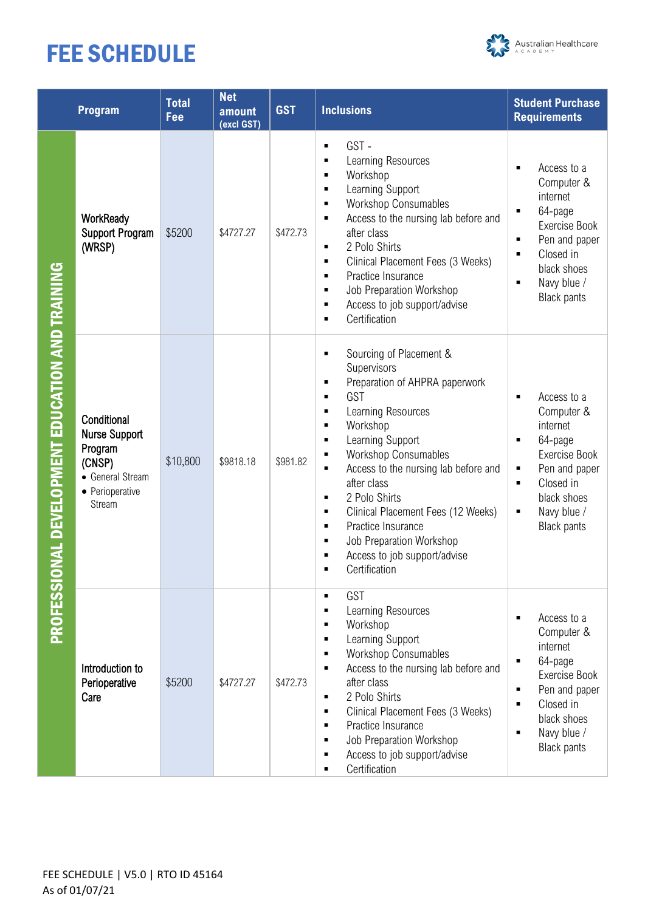# FEE SCHEDULE



|                                                                   | Program                                                                                                   | <b>Total</b><br>Fee | <b>Net</b><br>amount<br>(excl GST) | <b>GST</b> | <b>Inclusions</b>                                                                                                                                                                                                                                                                                                                                                                                                                                              | <b>Student Purchase</b><br><b>Requirements</b>                                                                                                                                                                      |
|-------------------------------------------------------------------|-----------------------------------------------------------------------------------------------------------|---------------------|------------------------------------|------------|----------------------------------------------------------------------------------------------------------------------------------------------------------------------------------------------------------------------------------------------------------------------------------------------------------------------------------------------------------------------------------------------------------------------------------------------------------------|---------------------------------------------------------------------------------------------------------------------------------------------------------------------------------------------------------------------|
| <b>ONAL DEVELOPMENT EDUCATION AND TRAINING</b><br><b>PROFESSI</b> | WorkReady<br><b>Support Program</b><br>(WRSP)                                                             | \$5200              | \$4727.27                          | \$472.73   | GST-<br>П<br>Learning Resources<br>Workshop<br>п<br>Learning Support<br>П<br><b>Workshop Consumables</b><br>Е<br>Access to the nursing lab before and<br>Е<br>after class<br>2 Polo Shirts<br>٠<br>Clinical Placement Fees (3 Weeks)<br>$\blacksquare$<br>Practice Insurance<br>П<br>Job Preparation Workshop<br>Е<br>Access to job support/advise<br>Certification<br>п                                                                                       | Access to a<br>п<br>Computer &<br>internet<br>64-page<br>٠<br>Exercise Book<br>Pen and paper<br>$\blacksquare$<br>Closed in<br>$\blacksquare$<br>black shoes<br>Navy blue /<br>٠<br><b>Black pants</b>              |
|                                                                   | Conditional<br><b>Nurse Support</b><br>Program<br>(CNSP)<br>• General Stream<br>• Perioperative<br>Stream | \$10,800            | \$9818.18                          | \$981.82   | Sourcing of Placement &<br>П<br>Supervisors<br>Preparation of AHPRA paperwork<br>Е<br>GST<br>п<br>Learning Resources<br>Е<br>Workshop<br>Е<br>Learning Support<br>Е<br><b>Workshop Consumables</b><br>п<br>Access to the nursing lab before and<br>П<br>after class<br>2 Polo Shirts<br>Е<br>Clinical Placement Fees (12 Weeks)<br>п<br>Practice Insurance<br>$\blacksquare$<br>Job Preparation Workshop<br>Е<br>Access to job support/advise<br>Certification | Access to a<br>$\blacksquare$<br>Computer &<br>internet<br>64-page<br>٠<br>Exercise Book<br>Pen and paper<br>٠<br>Closed in<br>٠<br>black shoes<br>Navy blue /<br>٠<br><b>Black pants</b>                           |
|                                                                   | Introduction to<br>Perioperative<br>Care                                                                  | \$5200              | \$4727.27                          | \$472.73   | GST<br>п<br>Learning Resources<br>п<br>Workshop<br>п<br>Learning Support<br>п<br><b>Workshop Consumables</b><br>Access to the nursing lab before and<br>п<br>after class<br>2 Polo Shirts<br>П<br>Clinical Placement Fees (3 Weeks)<br>п<br>Practice Insurance<br>п<br>Job Preparation Workshop<br>п<br>Access to job support/advise<br>Certification                                                                                                          | Access to a<br>$\blacksquare$<br>Computer &<br>internet<br>64-page<br>$\blacksquare$<br>Exercise Book<br>Pen and paper<br>٠<br>Closed in<br>Ξ<br>black shoes<br>Navy blue /<br>$\blacksquare$<br><b>Black pants</b> |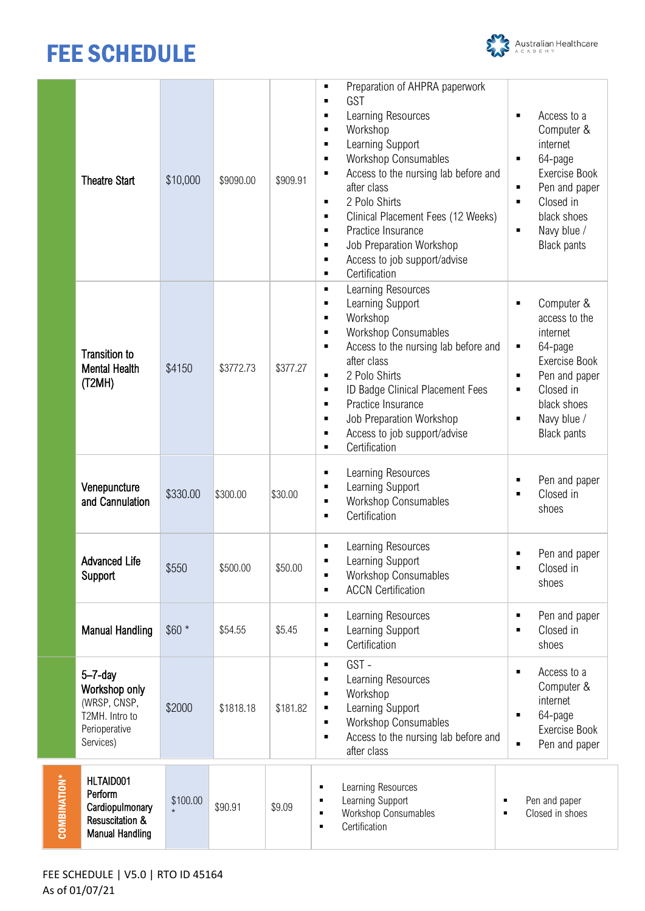# FEE SCHEDULE



|                      | <b>Theatre Start</b>                                                                           | \$10,000 | \$9090.00 | \$909.91 | Preparation of AHPRA paperwork<br>$\blacksquare$<br>GST<br>Ξ<br>Learning Resources<br>٠<br>Workshop<br>٠<br>Learning Support<br>٠<br><b>Workshop Consumables</b><br>٠<br>Access to the nursing lab before and<br>٠<br>after class<br>2 Polo Shirts<br>п<br>Clinical Placement Fees (12 Weeks)<br>٠<br>Practice Insurance<br>$\blacksquare$<br>Job Preparation Workshop<br>٠<br>Access to job support/advise<br>٠<br>Certification<br>$\blacksquare$ | Access to a<br>$\blacksquare$<br>Computer &<br>internet<br>64-page<br>$\blacksquare$<br>Exercise Book<br>Pen and paper<br>$\blacksquare$<br>Closed in<br>$\blacksquare$<br>black shoes<br>Navy blue /<br>$\blacksquare$<br><b>Black pants</b> |
|----------------------|------------------------------------------------------------------------------------------------|----------|-----------|----------|-----------------------------------------------------------------------------------------------------------------------------------------------------------------------------------------------------------------------------------------------------------------------------------------------------------------------------------------------------------------------------------------------------------------------------------------------------|-----------------------------------------------------------------------------------------------------------------------------------------------------------------------------------------------------------------------------------------------|
|                      | <b>Transition to</b><br><b>Mental Health</b><br>(T2MH)                                         | \$4150   | \$3772.73 | \$377.27 | Learning Resources<br>٠<br>Learning Support<br>$\blacksquare$<br>Workshop<br>٠<br><b>Workshop Consumables</b><br>$\blacksquare$<br>Access to the nursing lab before and<br>Ξ<br>after class<br>2 Polo Shirts<br>٠<br>ID Badge Clinical Placement Fees<br>п<br>Practice Insurance<br>$\blacksquare$<br>Job Preparation Workshop<br>٠<br>Access to job support/advise<br>٠<br>Certification<br>Ξ                                                      | Computer &<br>$\blacksquare$<br>access to the<br>internet<br>64-page<br>٠<br>Exercise Book<br>Pen and paper<br>$\blacksquare$<br>Closed in<br>٠<br>black shoes<br>Navy blue /<br>$\blacksquare$<br><b>Black pants</b>                         |
|                      | Venepuncture<br>and Cannulation                                                                | \$330.00 | \$300.00  | \$30.00  | Learning Resources<br>٠<br>Learning Support<br>٠<br><b>Workshop Consumables</b><br>$\blacksquare$<br>Certification<br>$\blacksquare$                                                                                                                                                                                                                                                                                                                | Pen and paper<br>٠<br>Closed in<br>$\blacksquare$<br>shoes                                                                                                                                                                                    |
|                      | <b>Advanced Life</b><br>Support                                                                | \$550    | \$500.00  | \$50.00  | Learning Resources<br>Learning Support<br><b>Workshop Consumables</b><br>٠<br><b>ACCN Certification</b><br>$\blacksquare$                                                                                                                                                                                                                                                                                                                           | Pen and paper<br>$\blacksquare$<br>Closed in<br>$\blacksquare$<br>shoes                                                                                                                                                                       |
|                      | <b>Manual Handling</b>                                                                         | $$60*$   | \$54.55   | \$5.45   | Learning Resources<br>٠<br>Learning Support<br>٠<br>Certification<br>٠                                                                                                                                                                                                                                                                                                                                                                              | Pen and paper<br>$\blacksquare$<br>Closed in<br>$\blacksquare$<br>shoes                                                                                                                                                                       |
|                      | $5 - 7 - day$<br>Workshop only<br>(WRSP, CNSP,<br>T2MH. Intro to<br>Perioperative<br>Services) | \$2000   | \$1818.18 | \$181.82 | GST-<br>$\blacksquare$<br>Learning Resources<br>٠<br>Workshop<br>٠<br>Learning Support<br>$\blacksquare$<br><b>Workshop Consumables</b><br>٠<br>Access to the nursing lab before and<br>٠<br>after class                                                                                                                                                                                                                                            | Access to a<br>$\blacksquare$<br>Computer &<br>internet<br>64-page<br>$\blacksquare$<br>Exercise Book<br>Pen and paper<br>$\blacksquare$                                                                                                      |
| <b>COMBINATION</b> * | HLTAID001<br>Perform<br>Cardiopulmonary<br>Resuscitation &<br><b>Manual Handling</b>           | \$100.00 | \$90.91   | \$9.09   | Learning Resources<br>٠<br>Learning Support<br>٠<br>٠<br>Workshop Consumables<br>٠<br>٠<br>Certification<br>٠                                                                                                                                                                                                                                                                                                                                       | Pen and paper<br>Closed in shoes                                                                                                                                                                                                              |